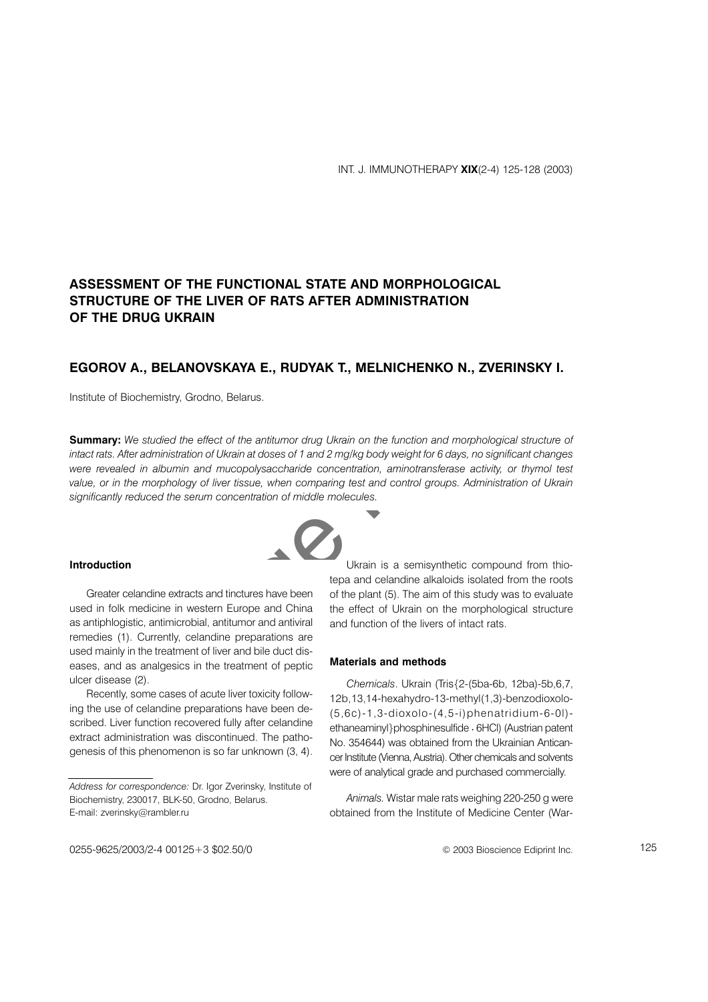# ASSESSMENT OF THE FUNCTIONAL STATE AND MORPHOLOGICAL STRUCTURE OF THE LIVER OF RATS AFTER ADMINISTRATION OF THE DRUG UKRAIN

## EGOROV A., BELANOVSKAYA E., RUDYAK T., MELNICHENKO N., ZVERINSKY I.

Institute of Biochemistry, Grodno, Belarus.

**Summary:** We studied the effect of the antitumor drug Ukrain on the function and morphological structure of intact rats. After administration of Ukrain at doses of 1 and 2 mg/kg body weight for 6 days, no significant changes were revealed in albumin and mucopolysaccharide concentration, aminotransferase activity, or thymol test value, or in the morphology of liver tissue, when comparing test and control groups. Administration of Ukrain significantly reduced the serum concentration of middle molecules.

## Introduction

Greater celandine extracts and tinctures have been used in folk medicine in western Europe and China as antiphlogistic, antimicrobial, antitumor and antiviral remedies (1). Currently, celandine preparations are used mainly in the treatment of liver and bile duct diseases, and as analgesics in the treatment of peptic ulcer disease (2).

Recently, some cases of acute liver toxicity following the use of celandine preparations have been described. Liver function recovered fully after celandine extract administration was discontinued. The pathogenesis of this phenomenon is so far unknown (3, 4).

Ukrain is a semisynthetic compound from thiotepa and celandine alkaloids isolated from the roots of the plant (5). The aim of this study was to evaluate the effect of Ukrain on the morphological structure and function of the livers of intact rats.

### **Materials and methods**

Chemicals. Ukrain (Tris{2-(5ba-6b, 12ba)-5b,6,7, 12b, 13, 14-hexahydro-13-methyl(1,3)-benzodioxolo- $(5,6c)$ -1,3-dioxolo- $(4,5-i)$ phenatridium-6-0I)ethaneaminyl}phosphinesulfide · 6HCl) (Austrian patent No. 354644) was obtained from the Ukrainian Anticancer Institute (Vienna, Austria). Other chemicals and solvents were of analytical grade and purchased commercially.

Animals. Wistar male rats weighing 220-250 g were obtained from the Institute of Medicine Center (War-



Address for correspondence: Dr. Igor Zverinsky, Institute of Biochemistry, 230017, BLK-50, Grodno, Belarus. E-mail: zverinsky@rambler.ru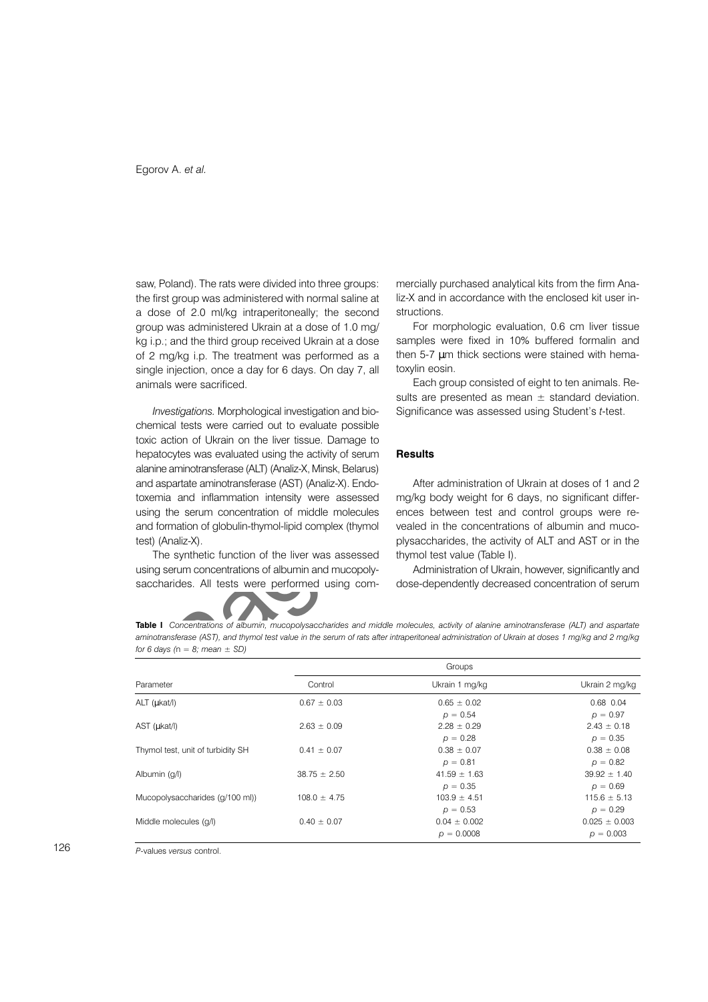saw. Poland). The rats were divided into three groups: the first group was administered with normal saline at a dose of 2.0 ml/kg intraperitoneally; the second group was administered Ukrain at a dose of 1.0 mg/ kg i.p.; and the third group received Ukrain at a dose of 2 mg/kg i.p. The treatment was performed as a single injection, once a day for 6 days. On day 7, all animals were sacrificed.

Investigations. Morphological investigation and biochemical tests were carried out to evaluate possible toxic action of Ukrain on the liver tissue. Damage to hepatocytes was evaluated using the activity of serum alanine aminotransferase (ALT) (Analiz-X, Minsk, Belarus) and aspartate aminotransferase (AST) (Analiz-X). Endotoxemia and inflammation intensity were assessed using the serum concentration of middle molecules and formation of globulin-thymol-lipid complex (thymol test) (Analiz-X).

The synthetic function of the liver was assessed using serum concentrations of albumin and mucopolysaccharides. All tests were performed using commercially purchased analytical kits from the firm Analiz-X and in accordance with the enclosed kit user in**structions** 

For morphologic evaluation, 0.6 cm liver tissue samples were fixed in 10% buffered formalin and then 5-7 um thick sections were stained with hematoxylin eosin.

Each group consisted of eight to ten animals. Results are presented as mean  $\pm$  standard deviation. Significance was assessed using Student's t-test.

## **Results**

After administration of Ukrain at doses of 1 and 2 mg/kg body weight for 6 days, no significant differences between test and control groups were revealed in the concentrations of albumin and mucoplysaccharides, the activity of ALT and AST or in the thymol test value (Table I).

Administration of Ukrain, however, significantly and dose-dependently decreased concentration of serum

Table I Concentrations of albumin, mucopolysaccharides and middle molecules, activity of alanine aminotransferase (ALT) and aspartate aminotransferase (AST), and thymol test value in the serum of rats after intraperitoneal administration of Ukrain at doses 1 mg/kg and 2 mg/kg for 6 days ( $n = 8$ ; mean  $\pm$  SD)

| Parameter                         | Groups           |                                  |                                  |
|-----------------------------------|------------------|----------------------------------|----------------------------------|
|                                   | Control          | Ukrain 1 mg/kg                   | Ukrain 2 mg/kg                   |
| ALT (ukat/l)                      | $0.67 \pm 0.03$  | $0.65 \pm 0.02$<br>$p = 0.54$    | 0.68 0.04<br>$p = 0.97$          |
| AST ( <i>ukat</i> /l)             | $2.63 \pm 0.09$  | $2.28 \pm 0.29$<br>$p = 0.28$    | $2.43 \pm 0.18$<br>$p = 0.35$    |
| Thymol test, unit of turbidity SH | $0.41 \pm 0.07$  | $0.38 \pm 0.07$<br>$p = 0.81$    | $0.38 \pm 0.08$<br>$p = 0.82$    |
| Albumin (g/l)                     | $38.75 \pm 2.50$ | $41.59 \pm 1.63$<br>$p = 0.35$   | $39.92 \pm 1.40$<br>$p = 0.69$   |
| Mucopolysaccharides (g/100 ml))   | $108.0 \pm 4.75$ | $103.9 \pm 4.51$<br>$p = 0.53$   | $115.6 \pm 5.13$<br>$p = 0.29$   |
| Middle molecules (g/l)            | $0.40 \pm 0.07$  | $0.04 \pm 0.002$<br>$p = 0.0008$ | $0.025 \pm 0.003$<br>$p = 0.003$ |

P-values versus control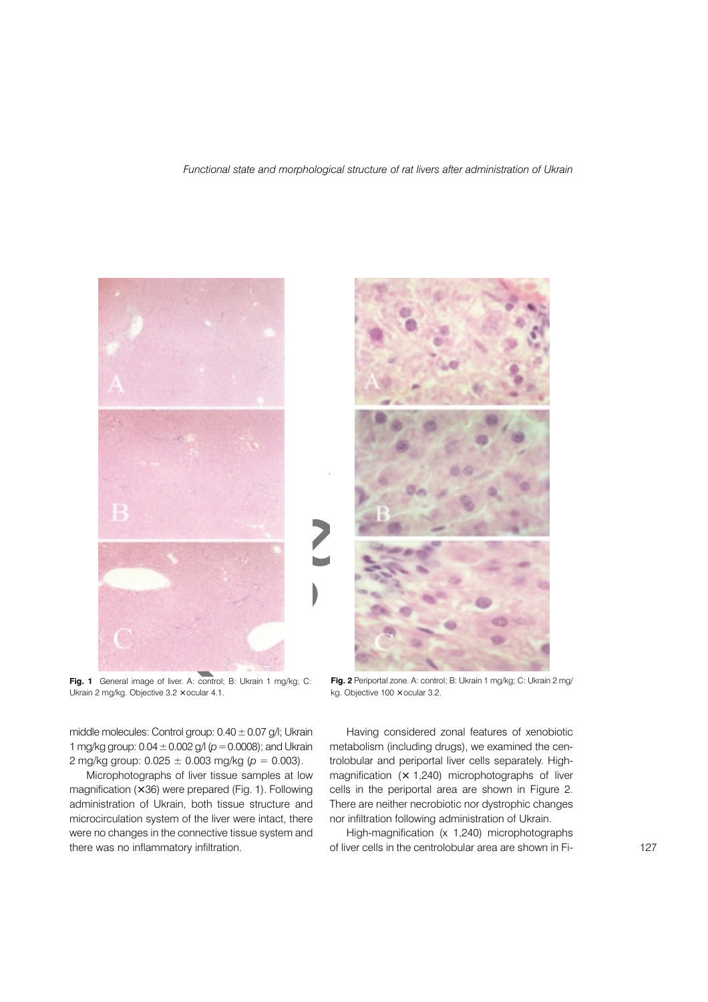Functional state and morphological structure of rat livers after administration of Ukrain



Fig. 1 General image of liver. A: control; B: Ukrain 1 mg/kg; C: Ukrain 2 mg/kg. Objective 3.2 x ocular 4.1.

middle molecules: Control group:  $0.40 \pm 0.07$  g/l; Ukrain 1 mg/kg group:  $0.04 \pm 0.002$  g/l ( $p = 0.0008$ ); and Ukrain 2 mg/kg group:  $0.025 \pm 0.003$  mg/kg ( $p = 0.003$ ).

Microphotographs of liver tissue samples at low magnification  $(x 36)$  were prepared (Fig. 1). Following administration of Ukrain, both tissue structure and microcirculation system of the liver were intact, there were no changes in the connective tissue system and there was no inflammatory infiltration.



Having considered zonal features of xenobiotic metabolism (including drugs), we examined the centrolobular and periportal liver cells separately. Highmagnification  $(x 1,240)$  microphotographs of liver cells in the periportal area are shown in Figure 2. There are neither necrobiotic nor dystrophic changes nor infiltration following administration of Ukrain.

High-magnification (x 1,240) microphotographs of liver cells in the centrolobular area are shown in Fi-